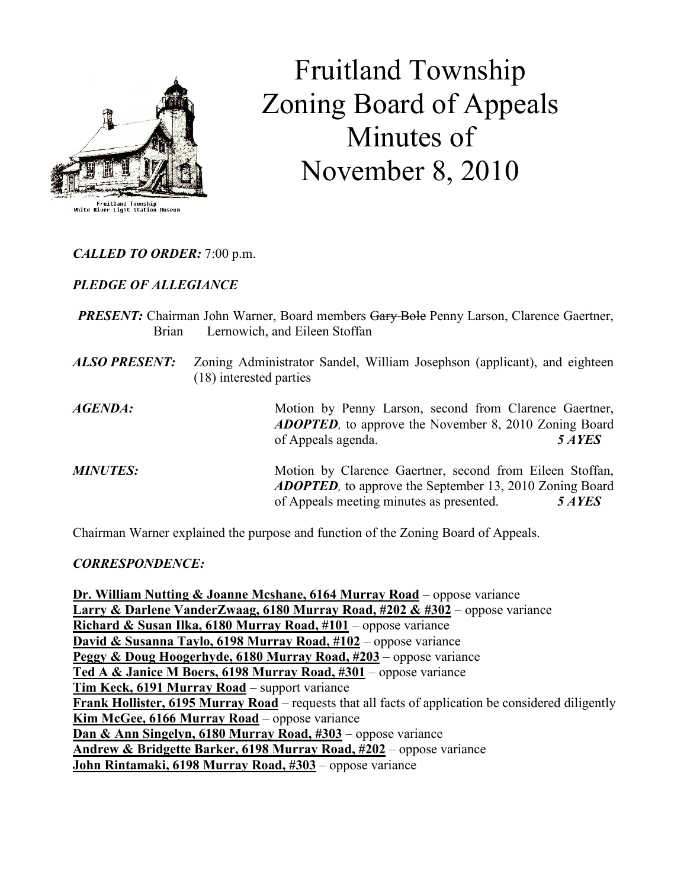

# Fruitland Township Zoning Board of Appeals Minutes of November 8, 2010

CALLED TO ORDER: 7:00 p.m.

PLEDGE OF ALLEGIANCE

- **PRESENT:** Chairman John Warner, Board members Gary Bole Penny Larson, Clarence Gaertner, Brian Lernowich, and Eileen Stoffan
- ALSO PRESENT: Zoning Administrator Sandel, William Josephson (applicant), and eighteen (18) interested parties

AGENDA: Motion by Penny Larson, second from Clarence Gaertner, ADOPTED, to approve the November 8, 2010 Zoning Board of Appeals agenda. 5 AYES

**MINUTES:** Motion by Clarence Gaertner, second from Eileen Stoffan, ADOPTED, to approve the September 13, 2010 Zoning Board of Appeals meeting minutes as presented. 5 AYES

Chairman Warner explained the purpose and function of the Zoning Board of Appeals.

# CORRESPONDENCE:

Dr. William Nutting & Joanne Mcshane, 6164 Murray Road – oppose variance Larry & Darlene VanderZwaag, 6180 Murray Road, #202 & #302 – oppose variance Richard & Susan Ilka, 6180 Murray Road,  $#101$  – oppose variance David & Susanna Taylo, 6198 Murray Road, #102 – oppose variance Peggy & Doug Hoogerhyde, 6180 Murray Road, #203 – oppose variance Ted A & Janice M Boers, 6198 Murray Road, #301 – oppose variance Tim Keck, 6191 Murray Road – support variance Frank Hollister, 6195 Murray Road – requests that all facts of application be considered diligently Kim McGee, 6166 Murray Road – oppose variance Dan & Ann Singelyn, 6180 Murray Road, #303 – oppose variance Andrew & Bridgette Barker, 6198 Murray Road, #202 – oppose variance John Rintamaki, 6198 Murray Road, #303 – oppose variance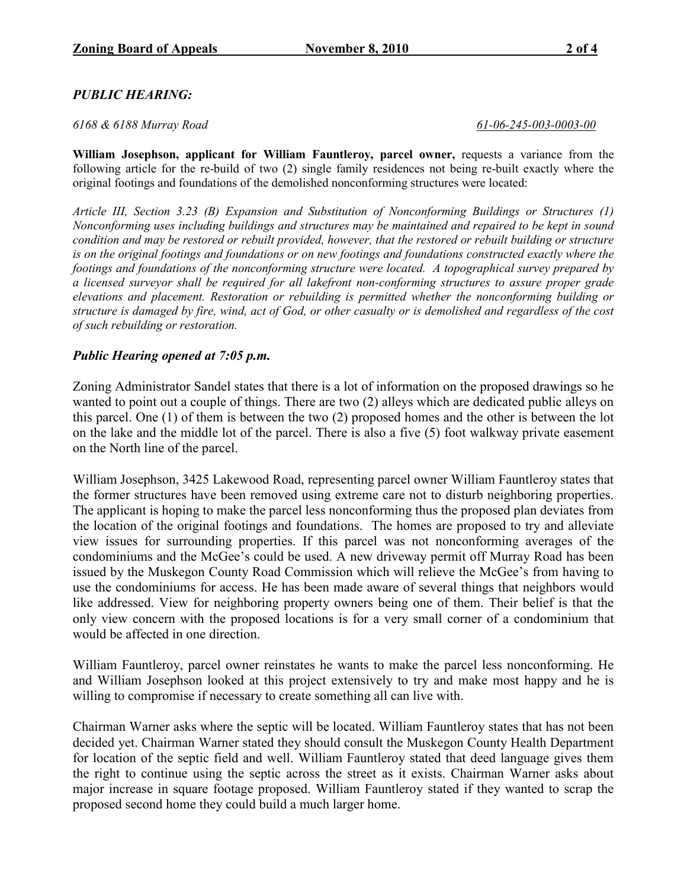# PUBLIC HEARING:

#### 6168 & 6188 Murray Road 61-06-245-003-0003-00

William Josephson, applicant for William Fauntleroy, parcel owner, requests a variance from the following article for the re-build of two (2) single family residences not being re-built exactly where the original footings and foundations of the demolished nonconforming structures were located:

Article III, Section 3.23 (B) Expansion and Substitution of Nonconforming Buildings or Structures (1) Nonconforming uses including buildings and structures may be maintained and repaired to be kept in sound condition and may be restored or rebuilt provided, however, that the restored or rebuilt building or structure is on the original footings and foundations or on new footings and foundations constructed exactly where the footings and foundations of the nonconforming structure were located. A topographical survey prepared by a licensed surveyor shall be required for all lakefront non-conforming structures to assure proper grade elevations and placement. Restoration or rebuilding is permitted whether the nonconforming building or structure is damaged by fire, wind, act of God, or other casualty or is demolished and regardless of the cost of such rebuilding or restoration.

### Public Hearing opened at 7:05 p.m.

Zoning Administrator Sandel states that there is a lot of information on the proposed drawings so he wanted to point out a couple of things. There are two (2) alleys which are dedicated public alleys on this parcel. One (1) of them is between the two (2) proposed homes and the other is between the lot on the lake and the middle lot of the parcel. There is also a five (5) foot walkway private easement on the North line of the parcel.

William Josephson, 3425 Lakewood Road, representing parcel owner William Fauntleroy states that the former structures have been removed using extreme care not to disturb neighboring properties. The applicant is hoping to make the parcel less nonconforming thus the proposed plan deviates from the location of the original footings and foundations. The homes are proposed to try and alleviate view issues for surrounding properties. If this parcel was not nonconforming averages of the condominiums and the McGee's could be used. A new driveway permit off Murray Road has been issued by the Muskegon County Road Commission which will relieve the McGee's from having to use the condominiums for access. He has been made aware of several things that neighbors would like addressed. View for neighboring property owners being one of them. Their belief is that the only view concern with the proposed locations is for a very small corner of a condominium that would be affected in one direction.

William Fauntleroy, parcel owner reinstates he wants to make the parcel less nonconforming. He and William Josephson looked at this project extensively to try and make most happy and he is willing to compromise if necessary to create something all can live with.

Chairman Warner asks where the septic will be located. William Fauntleroy states that has not been decided yet. Chairman Warner stated they should consult the Muskegon County Health Department for location of the septic field and well. William Fauntleroy stated that deed language gives them the right to continue using the septic across the street as it exists. Chairman Warner asks about major increase in square footage proposed. William Fauntleroy stated if they wanted to scrap the proposed second home they could build a much larger home.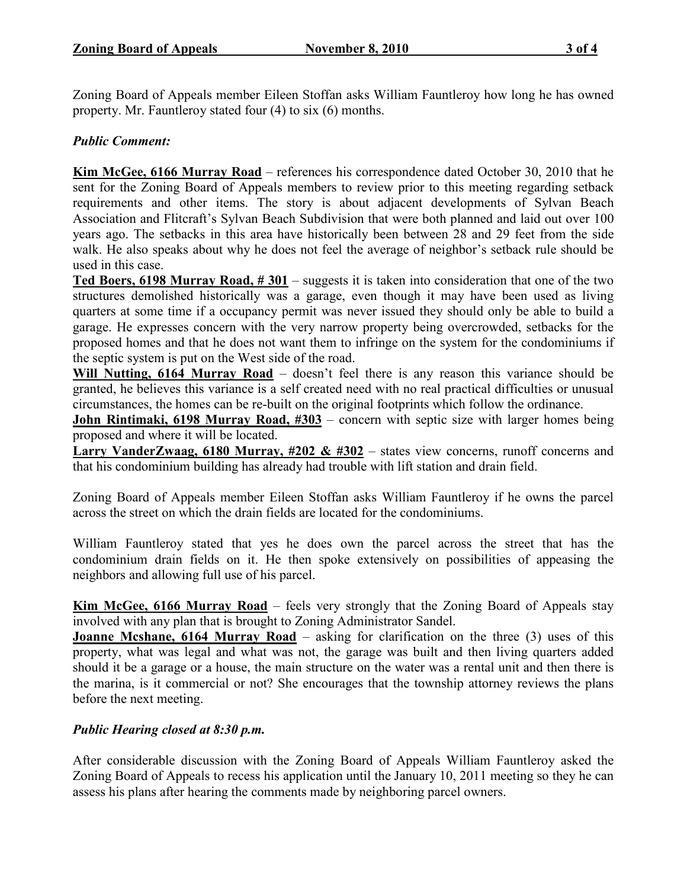Zoning Board of Appeals member Eileen Stoffan asks William Fauntleroy how long he has owned property. Mr. Fauntleroy stated four (4) to six (6) months.

# Public Comment:

Kim McGee, 6166 Murray Road – references his correspondence dated October 30, 2010 that he sent for the Zoning Board of Appeals members to review prior to this meeting regarding setback requirements and other items. The story is about adjacent developments of Sylvan Beach Association and Flitcraft's Sylvan Beach Subdivision that were both planned and laid out over 100 years ago. The setbacks in this area have historically been between 28 and 29 feet from the side walk. He also speaks about why he does not feel the average of neighbor's setback rule should be used in this case.

Ted Boers, 6198 Murray Road,  $\# 301$  – suggests it is taken into consideration that one of the two structures demolished historically was a garage, even though it may have been used as living quarters at some time if a occupancy permit was never issued they should only be able to build a garage. He expresses concern with the very narrow property being overcrowded, setbacks for the proposed homes and that he does not want them to infringe on the system for the condominiums if the septic system is put on the West side of the road.

Will Nutting, 6164 Murray Road – doesn't feel there is any reason this variance should be granted, he believes this variance is a self created need with no real practical difficulties or unusual circumstances, the homes can be re-built on the original footprints which follow the ordinance.

John Rintimaki, 6198 Murray Road, #303 – concern with septic size with larger homes being proposed and where it will be located.

Larry VanderZwaag, 6180 Murray, #202 & #302 – states view concerns, runoff concerns and that his condominium building has already had trouble with lift station and drain field.

Zoning Board of Appeals member Eileen Stoffan asks William Fauntleroy if he owns the parcel across the street on which the drain fields are located for the condominiums.

William Fauntleroy stated that yes he does own the parcel across the street that has the condominium drain fields on it. He then spoke extensively on possibilities of appeasing the neighbors and allowing full use of his parcel.

Kim McGee, 6166 Murray Road – feels very strongly that the Zoning Board of Appeals stay involved with any plan that is brought to Zoning Administrator Sandel.

**Joanne Mcshane, 6164 Murray Road** – asking for clarification on the three  $(3)$  uses of this property, what was legal and what was not, the garage was built and then living quarters added should it be a garage or a house, the main structure on the water was a rental unit and then there is the marina, is it commercial or not? She encourages that the township attorney reviews the plans before the next meeting.

# Public Hearing closed at 8:30 p.m.

After considerable discussion with the Zoning Board of Appeals William Fauntleroy asked the Zoning Board of Appeals to recess his application until the January 10, 2011 meeting so they he can assess his plans after hearing the comments made by neighboring parcel owners.